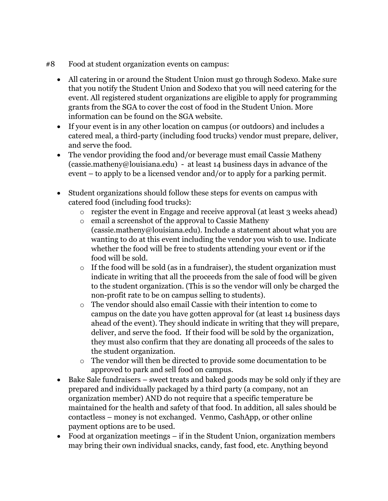- #8 Food at student organization events on campus:
	- All catering in or around the Student Union must go through Sodexo. Make sure that you notify the Student Union and Sodexo that you will need catering for the event. All registered student organizations are eligible to apply for programming grants from the SGA to cover the cost of food in the Student Union. More information can be found on the SGA website.
	- If your event is in any other location on campus (or outdoors) and includes a catered meal, a third-party (including food trucks) vendor must prepare, deliver, and serve the food.
	- The vendor providing the food and/or beverage must email Cassie Matheny (cassie.matheny@louisiana.edu) - at least 14 business days in advance of the event – to apply to be a licensed vendor and/or to apply for a parking permit.
	- Student organizations should follow these steps for events on campus with catered food (including food trucks):
		- $\circ$  register the event in Engage and receive approval (at least 3 weeks ahead)
		- o email a screenshot of the approval to Cassie Matheny (cassie.matheny@louisiana.edu). Include a statement about what you are wanting to do at this event including the vendor you wish to use. Indicate whether the food will be free to students attending your event or if the food will be sold.
		- o If the food will be sold (as in a fundraiser), the student organization must indicate in writing that all the proceeds from the sale of food will be given to the student organization. (This is so the vendor will only be charged the non-profit rate to be on campus selling to students).
		- o The vendor should also email Cassie with their intention to come to campus on the date you have gotten approval for (at least 14 business days ahead of the event). They should indicate in writing that they will prepare, deliver, and serve the food. If their food will be sold by the organization, they must also confirm that they are donating all proceeds of the sales to the student organization.
		- o The vendor will then be directed to provide some documentation to be approved to park and sell food on campus.
	- Bake Sale fundraisers sweet treats and baked goods may be sold only if they are prepared and individually packaged by a third party (a company, not an organization member) AND do not require that a specific temperature be maintained for the health and safety of that food. In addition, all sales should be contactless – money is not exchanged. Venmo, CashApp, or other online payment options are to be used.
	- Food at organization meetings if in the Student Union, organization members may bring their own individual snacks, candy, fast food, etc. Anything beyond